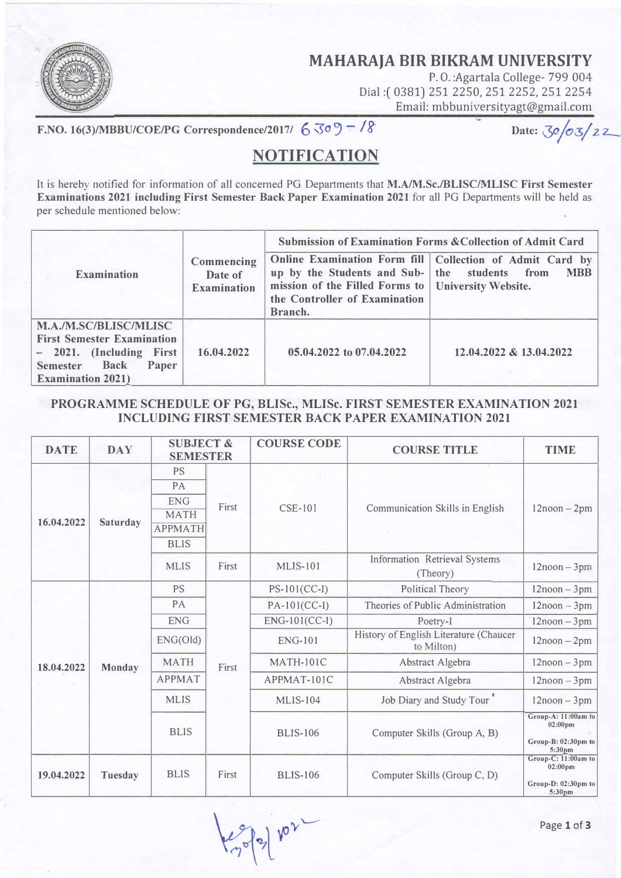

**MAHARAJA BIR BIKRAM UNIVERSITY** 

P.O.: Agartala College- 799 004 Dial:( 0381) 251 2250, 251 2252, 251 2254 Email: mbbuniversityagt@gmail.com

F.NO. 16(3)/MBBU/COE/PG Correspondence/2017/  $6 \leq 9 - 18$ 

Date:  $30/03/22$ 

## **NQTIFICATIQN**

It is hereby notified for information of all concerned PG Departments that **M.A/M.Sc./BLISC/MLISC First Semester Examinations 2021 including First Semester Back Paper Examination 2021 for** all PG Departments will be held as per schedule mentioned below:

|                                                                                                                                                                      | Commencing<br>Date of<br><b>Examination</b> | <b>Submission of Examination Forms &amp; Collection of Admit Card</b>                                                                             |                                                                          |  |  |
|----------------------------------------------------------------------------------------------------------------------------------------------------------------------|---------------------------------------------|---------------------------------------------------------------------------------------------------------------------------------------------------|--------------------------------------------------------------------------|--|--|
| <b>Examination</b>                                                                                                                                                   |                                             | up by the Students and Sub- the students from<br>mission of the Filled Forms to   University Website.<br>the Controller of Examination<br>Branch. | Online Examination Form fill   Collection of Admit Card by<br><b>MBB</b> |  |  |
| <b>M.A./M.SC/BLISC/MLISC</b><br><b>First Semester Examination</b><br>- 2021. (Including First<br><b>Back</b><br><b>Semester</b><br>Paper<br><b>Examination 2021)</b> | 16.04.2022                                  | 05.04.2022 to 07.04.2022                                                                                                                          | 12.04.2022 & 13.04.2022                                                  |  |  |

## **PROGRAMME SCHEDULE OF PG, BLISc., MLISc. FIRST SEMESTER EXAMINATION 2021 INCLUDING FIRST SEMESTER BACK PAPER EXAMINATION 2021**

| <b>DATE</b> | <b>DAY</b> | <b>SUBJECT &amp;</b><br><b>SEMESTER</b> |       | <b>COURSE CODE</b> | <b>COURSE TITLE</b>                                  | <b>TIME</b>                                                                           |
|-------------|------------|-----------------------------------------|-------|--------------------|------------------------------------------------------|---------------------------------------------------------------------------------------|
| 16.04.2022  | Saturday   | <b>PS</b>                               | First | <b>CSE-101</b>     | Communication Skills in English                      |                                                                                       |
|             |            | PA                                      |       |                    |                                                      | $12$ noon $-2$ pm                                                                     |
|             |            | <b>ENG</b>                              |       |                    |                                                      |                                                                                       |
|             |            | <b>MATH</b>                             |       |                    |                                                      |                                                                                       |
|             |            | <b>APPMATH</b>                          |       |                    |                                                      |                                                                                       |
|             |            | <b>BLIS</b>                             |       |                    |                                                      |                                                                                       |
|             |            | <b>MLIS</b>                             | First | <b>MLIS-101</b>    | <b>Information Retrieval Systems</b><br>(Theory)     | $12$ noon $-3$ pm                                                                     |
| 18.04.2022  | Monday     | PS                                      | First | $PS-101(CC-I)$     | <b>Political Theory</b>                              | $12$ noon $-3$ pm                                                                     |
|             |            | PA                                      |       | $PA-101(CC-I)$     | Theories of Public Administration                    | $12$ noon $-3$ pm                                                                     |
|             |            | <b>ENG</b>                              |       | ENG-101(CC-1)      | Poetry-I                                             | $12$ noon $-3$ pm                                                                     |
|             |            | ENG(Old)                                |       | <b>ENG-101</b>     | History of English Literature (Chaucer<br>to Milton) | $12$ noon $-2$ pm                                                                     |
|             |            | <b>MATH</b>                             |       | <b>MATH-101C</b>   | Abstract Algebra                                     | $12$ noon $-3$ pm                                                                     |
|             |            | <b>APPMAT</b>                           |       | APPMAT-101C        | Abstract Algebra                                     | $12$ noon $-3$ pm                                                                     |
|             |            | <b>MLIS</b>                             |       | <b>MLIS-104</b>    | Job Diary and Study Tour                             | $12$ noon $-3$ pm                                                                     |
|             |            | <b>BLIS</b>                             |       | <b>BLIS-106</b>    | Computer Skills (Group A, B)                         | Group-A: 11:00am to<br>$02:00$ pm<br>Group-B: 02:30pm to<br>5:30pm                    |
| 19.04.2022  | Tuesday    | <b>BLIS</b>                             | First | <b>BLIS-106</b>    | Computer Skills (Group C, D)                         | Group-C: 11:00am to<br>$02:00 \text{pm}$<br>Group-D: 02:30pm to<br>5:30 <sub>pm</sub> |

 $102$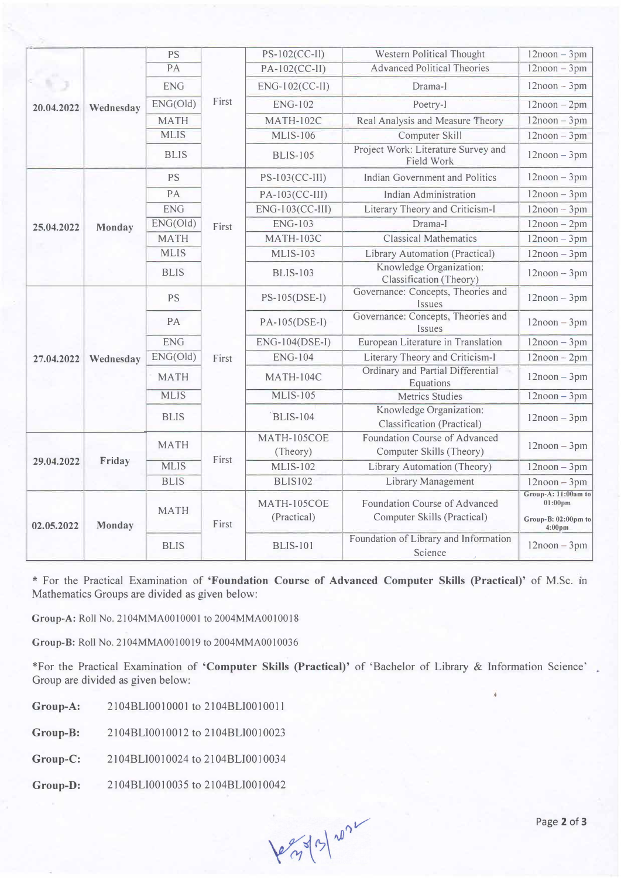| 20.04.2022 | Wednesday           | <b>PS</b>   | First                                                                                                                                                                                                             | PS-102(CC-II)           | Western Political Thought                                 | $12$ noon $-3$ pm                         |
|------------|---------------------|-------------|-------------------------------------------------------------------------------------------------------------------------------------------------------------------------------------------------------------------|-------------------------|-----------------------------------------------------------|-------------------------------------------|
|            |                     | PA          |                                                                                                                                                                                                                   | PA-102(CC-II)           | <b>Advanced Political Theories</b>                        | $12$ noon $-3$ pm                         |
|            |                     | <b>ENG</b>  |                                                                                                                                                                                                                   | ENG-102(CC-II)          | Drama-I                                                   | $12$ noon $-3$ pm                         |
|            |                     | ENG(Old)    |                                                                                                                                                                                                                   | <b>ENG-102</b>          | Poetry-I                                                  | $12$ noon $-2$ pm                         |
|            |                     | <b>MATH</b> |                                                                                                                                                                                                                   | <b>MATH-102C</b>        | Real Analysis and Measure Theory                          | $12$ noon $-3$ pm                         |
|            |                     | <b>MLIS</b> |                                                                                                                                                                                                                   | <b>MLIS-106</b>         | Computer Skill                                            | $12$ noon $-3$ pm                         |
|            | Monday<br>Wednesday | <b>BLIS</b> | <b>PS</b><br>PA<br><b>ENG</b><br>First<br><b>MATH</b><br><b>MLIS</b><br><b>BLIS</b><br><b>PS</b><br>PA<br><b>ENG</b><br>First<br><b>MATH</b><br><b>MLIS</b><br><b>BLIS</b><br><b>MATH</b><br>First<br><b>MLIS</b> | <b>BLIS-105</b>         | Project Work: Literature Survey and<br>Field Work         | $12$ noon $-3$ pm                         |
|            |                     |             |                                                                                                                                                                                                                   | $PS-I03(CC-III)$        | Indian Government and Politics                            | $12$ noon $-3$ pm                         |
|            |                     |             |                                                                                                                                                                                                                   | PA-103(CC-III)          | Indian Administration                                     | $12$ noon $-3$ pm                         |
|            |                     |             |                                                                                                                                                                                                                   | ENG-103(CC-III)         | Literary Theory and Criticism-I                           | $12$ noon $-3$ pm                         |
| 25.04.2022 |                     | ENG(Old)    |                                                                                                                                                                                                                   | <b>ENG-103</b>          | Drama-I                                                   | $12$ noon $-2$ pm                         |
|            |                     |             |                                                                                                                                                                                                                   | <b>MATH-103C</b>        | <b>Classical Mathematics</b>                              | $12$ noon $-3$ pm                         |
|            |                     |             |                                                                                                                                                                                                                   | <b>MLIS-103</b>         | Library Automation (Practical)                            | $12$ noon $-3$ pm                         |
|            |                     |             |                                                                                                                                                                                                                   | <b>BLIS-103</b>         | Knowledge Organization:<br>Classification (Theory)        | $12$ noon $-3$ pm                         |
|            |                     |             |                                                                                                                                                                                                                   | PS-105(DSE-I)           | Governance: Concepts, Theories and<br>Issues              | $12$ noon $-3$ pm                         |
|            |                     |             |                                                                                                                                                                                                                   | PA-105(DSE-I)           | Governance: Concepts, Theories and<br>Issues              | $12$ noon $-3$ pm                         |
|            |                     |             |                                                                                                                                                                                                                   | ENG-104(DSE-I)          | European Literature in Translation                        | $12$ noon $-3$ pm                         |
| 27.04.2022 |                     | ENG(Old)    |                                                                                                                                                                                                                   | <b>ENG-104</b>          | Literary Theory and Criticism-I                           | $12$ noon $-2$ pm                         |
|            |                     |             |                                                                                                                                                                                                                   | <b>MATH-104C</b>        | Ordinary and Partial Differential<br>Equations            | $12$ noon $-3$ pm                         |
|            |                     |             |                                                                                                                                                                                                                   | <b>MLIS-105</b>         | <b>Metrics Studies</b>                                    | $12$ noon $-3$ pm                         |
|            |                     |             |                                                                                                                                                                                                                   | <b>BLIS-104</b>         | Knowledge Organization:<br>Classification (Practical)     | $12$ noon $-3$ pm                         |
|            |                     |             |                                                                                                                                                                                                                   | MATH-105COE<br>(Theory) | Foundation Course of Advanced<br>Computer Skills (Theory) | $12$ noon $-3$ pm                         |
| 29.04.2022 | Friday              |             |                                                                                                                                                                                                                   | <b>MLIS-102</b>         | Library Automation (Theory)                               | $12$ noon $-3$ pm                         |
| 02.05.2022 | Monday              | <b>BLIS</b> | First                                                                                                                                                                                                             | <b>BLIS102</b>          | Library Management                                        | $12$ noon $-3$ pm                         |
|            |                     | <b>MATH</b> |                                                                                                                                                                                                                   | MATH-105COE             | Foundation Course of Advanced                             | Group-A: 11:00am to<br>$01:00$ pm         |
|            |                     |             |                                                                                                                                                                                                                   | (Practical)             | Computer Skills (Practical)                               | Group-B: 02:00pm to<br>4:00 <sub>pm</sub> |
|            |                     | <b>BLIS</b> |                                                                                                                                                                                                                   | <b>BLIS-101</b>         | Foundation of Library and Information<br>Science          | $12$ noon $-3$ pm                         |

\* For the Practical Examination of **'Foundation Course of Advanced Computer Skills (Practical)'** of M.Sc. m Mathematics Groups are divided as given below:

**Group-A:** Roll No. 2104MMA0010001 to 2004MMA0010018

**Group-B:** Roll No. 2104MMA0010019 to 2004MMA0010036

\*For the Practical Examination of **'Computer Skills (Practical)'** of 'Bachelor of Library & Information Science' Group are divided as given below:

**Group-A:**  2104BLI0010001 to 2104BLI001001 l

**Group-B:**  2104BLI0010012 to 2104BLI0010023

**Group-C:**  2104BLI0010024 to 2104BLJO0J0034

**Group-D:**  2104BLI0010035 to 2104BLI0010042

legals/2021